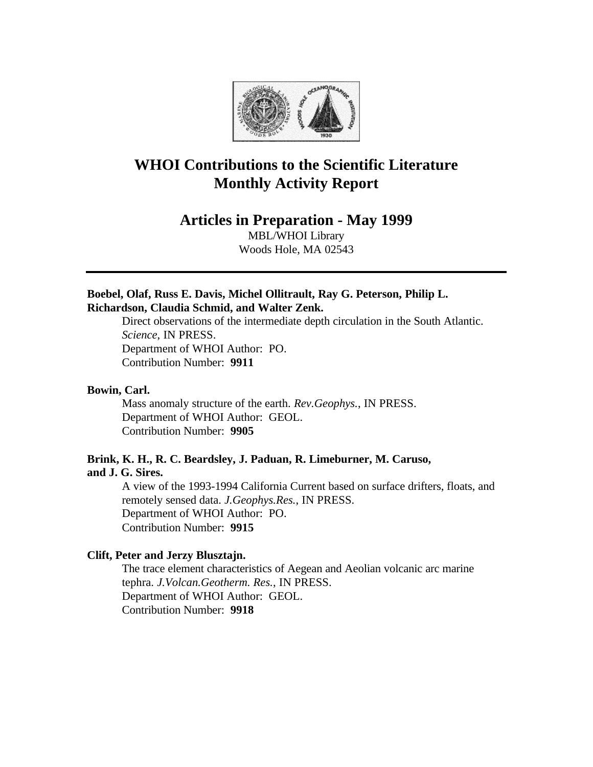

# **WHOI Contributions to the Scientific Literature Monthly Activity Report**

# **Articles in Preparation - May 1999**

MBL/WHOI Library Woods Hole, MA 02543

# **Boebel, Olaf, Russ E. Davis, Michel Ollitrault, Ray G. Peterson, Philip L. Richardson, Claudia Schmid, and Walter Zenk.**

Direct observations of the intermediate depth circulation in the South Atlantic. *Science*, IN PRESS. Department of WHOI Author: PO. Contribution Number: **9911**

# **Bowin, Carl.**

Mass anomaly structure of the earth. *Rev.Geophys.*, IN PRESS. Department of WHOI Author: GEOL. Contribution Number: **9905**

### **Brink, K. H., R. C. Beardsley, J. Paduan, R. Limeburner, M. Caruso, and J. G. Sires.**

A view of the 1993-1994 California Current based on surface drifters, floats, and remotely sensed data. *J.Geophys.Res.*, IN PRESS. Department of WHOI Author: PO. Contribution Number: **9915**

### **Clift, Peter and Jerzy Blusztajn.**

The trace element characteristics of Aegean and Aeolian volcanic arc marine tephra. *J.Volcan.Geotherm. Res.*, IN PRESS. Department of WHOI Author: GEOL. Contribution Number: **9918**